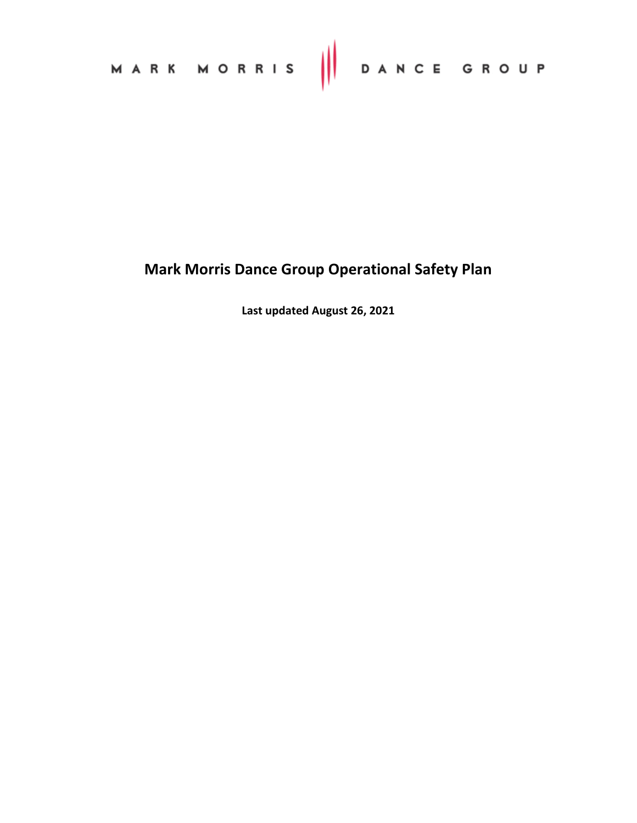| MARK MORRIS     DANCE GROUP |  |  |
|-----------------------------|--|--|
|-----------------------------|--|--|

# **Mark Morris Dance Group Operational Safety Plan**

**Last updated August 26, 2021**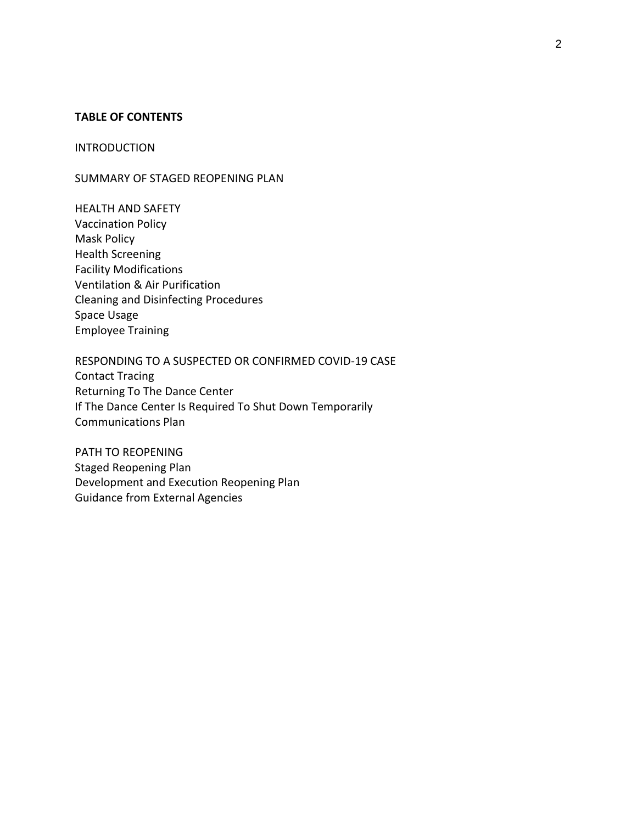#### **TABLE OF CONTENTS**

#### INTRODUCTION

SUMMARY OF STAGED REOPENING PLAN

HEALTH AND SAFETY Vaccination Policy Mask Policy Health Screening Facility Modifications Ventilation & Air Purification Cleaning and Disinfecting Procedures Space Usage Employee Training

RESPONDING TO A SUSPECTED OR CONFIRMED COVID-19 CASE Contact Tracing Returning To The Dance Center If The Dance Center Is Required To Shut Down Temporarily Communications Plan

PATH TO REOPENING Staged Reopening Plan Development and Execution Reopening Plan Guidance from External Agencies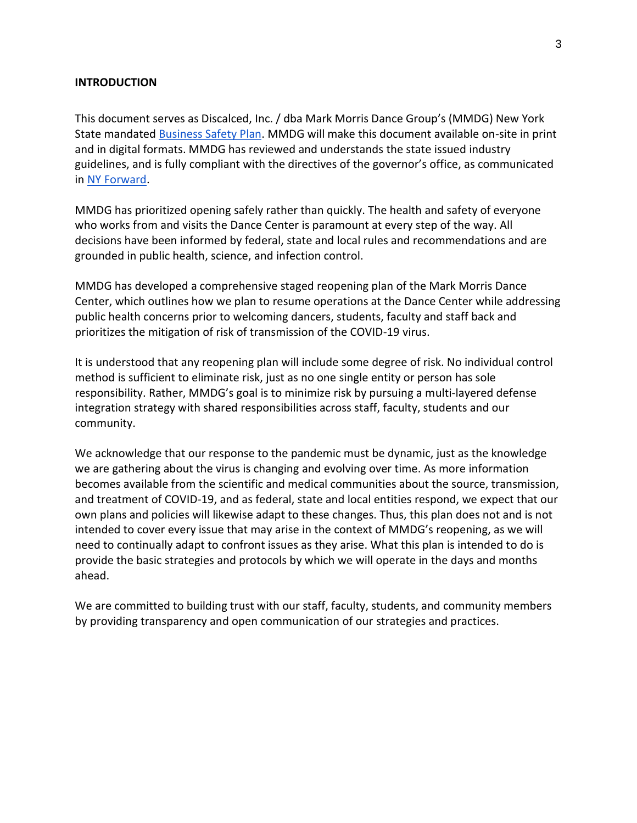#### **INTRODUCTION**

This document serves as Discalced, Inc. / dba Mark Morris Dance Group's (MMDG) New York State mandate[d Business Safety Plan.](https://www.governor.ny.gov/sites/governor.ny.gov/files/atoms/files/NYS_BusinessReopeningSafetyPlanTemplate.pdf) MMDG will make this document available on-site in print and in digital formats. MMDG has reviewed and understands the state issued industry guidelines, and is fully compliant with the directives of the governor's office, as communicated in [NY Forward.](https://forward.ny.gov/)

MMDG has prioritized opening safely rather than quickly. The health and safety of everyone who works from and visits the Dance Center is paramount at every step of the way. All decisions have been informed by federal, state and local rules and recommendations and are grounded in public health, science, and infection control.

MMDG has developed a comprehensive staged reopening plan of the Mark Morris Dance Center, which outlines how we plan to resume operations at the Dance Center while addressing public health concerns prior to welcoming dancers, students, faculty and staff back and prioritizes the mitigation of risk of transmission of the COVID-19 virus.

It is understood that any reopening plan will include some degree of risk. No individual control method is sufficient to eliminate risk, just as no one single entity or person has sole responsibility. Rather, MMDG's goal is to minimize risk by pursuing a multi-layered defense integration strategy with shared responsibilities across staff, faculty, students and our community.

We acknowledge that our response to the pandemic must be dynamic, just as the knowledge we are gathering about the virus is changing and evolving over time. As more information becomes available from the scientific and medical communities about the source, transmission, and treatment of COVID-19, and as federal, state and local entities respond, we expect that our own plans and policies will likewise adapt to these changes. Thus, this plan does not and is not intended to cover every issue that may arise in the context of MMDG's reopening, as we will need to continually adapt to confront issues as they arise. What this plan is intended to do is provide the basic strategies and protocols by which we will operate in the days and months ahead.

We are committed to building trust with our staff, faculty, students, and community members by providing transparency and open communication of our strategies and practices.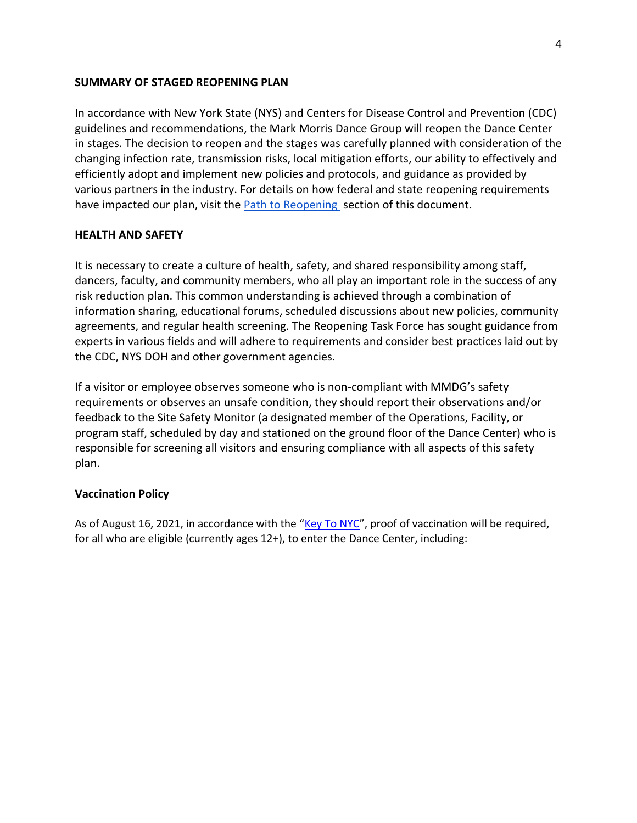#### **SUMMARY OF STAGED REOPENING PLAN**

In accordance with New York State (NYS) and Centers for Disease Control and Prevention (CDC) guidelines and recommendations, the Mark Morris Dance Group will reopen the Dance Center in stages. The decision to reopen and the stages was carefully planned with consideration of the changing infection rate, transmission risks, local mitigation efforts, our ability to effectively and efficiently adopt and implement new policies and protocols, and guidance as provided by various partners in the industry. For details on how federal and state reopening requirements have impacted our plan, visit the Path to Reopening section of this document.

#### **HEALTH AND SAFETY**

It is necessary to create a culture of health, safety, and shared responsibility among staff, dancers, faculty, and community members, who all play an important role in the success of any risk reduction plan. This common understanding is achieved through a combination of information sharing, educational forums, scheduled discussions about new policies, community agreements, and regular health screening. The Reopening Task Force has sought guidance from experts in various fields and will adhere to requirements and consider best practices laid out by the CDC, NYS DOH and other government agencies.

If a visitor or employee observes someone who is non-compliant with MMDG's safety requirements or observes an unsafe condition, they should report their observations and/or feedback to the Site Safety Monitor (a designated member of the Operations, Facility, or program staff, scheduled by day and stationed on the ground floor of the Dance Center) who is responsible for screening all visitors and ensuring compliance with all aspects of this safety plan.

#### **Vaccination Policy**

As of August 16, 2021, in accordance with the "[Key To NYC](https://www1.nyc.gov/site/doh/covid/covid-19-vaccines-keytonyc.page)", proof of vaccination will be required, for all who are eligible (currently ages 12+), to enter the Dance Center, including: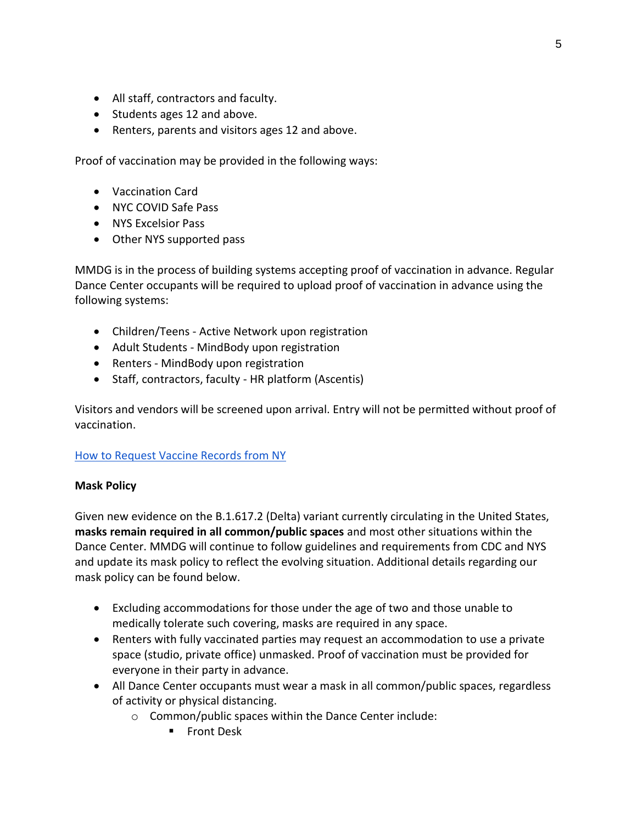- All staff, contractors and faculty.
- Students ages 12 and above.
- Renters, parents and visitors ages 12 and above.

Proof of vaccination may be provided in the following ways:

- Vaccination Card
- NYC COVID Safe Pass
- NYS Excelsior Pass
- Other NYS supported pass

MMDG is in the process of building systems accepting proof of vaccination in advance. Regular Dance Center occupants will be required to upload proof of vaccination in advance using the following systems:

- Children/Teens Active Network upon registration
- Adult Students MindBody upon registration
- Renters MindBody upon registration
- Staff, contractors, faculty HR platform (Ascentis)

Visitors and vendors will be screened upon arrival. Entry will not be permitted without proof of vaccination.

# [How to Request Vaccine Records from NY](https://www1.nyc.gov/site/doh/services/cir-parents-guardians.page)

# **Mask Policy**

Given new evidence on the B.1.617.2 (Delta) variant currently circulating in the United States, **masks remain required in all common/public spaces** and most other situations within the Dance Center. MMDG will continue to follow guidelines and requirements from CDC and NYS and update its mask policy to reflect the evolving situation. Additional details regarding our mask policy can be found below.

- Excluding accommodations for those under the age of two and those unable to medically tolerate such covering, masks are required in any space.
- Renters with fully vaccinated parties may request an accommodation to use a private space (studio, private office) unmasked. Proof of vaccination must be provided for everyone in their party in advance.
- All Dance Center occupants must wear a mask in all common/public spaces, regardless of activity or physical distancing.
	- o Common/public spaces within the Dance Center include:
		- **■** Front Desk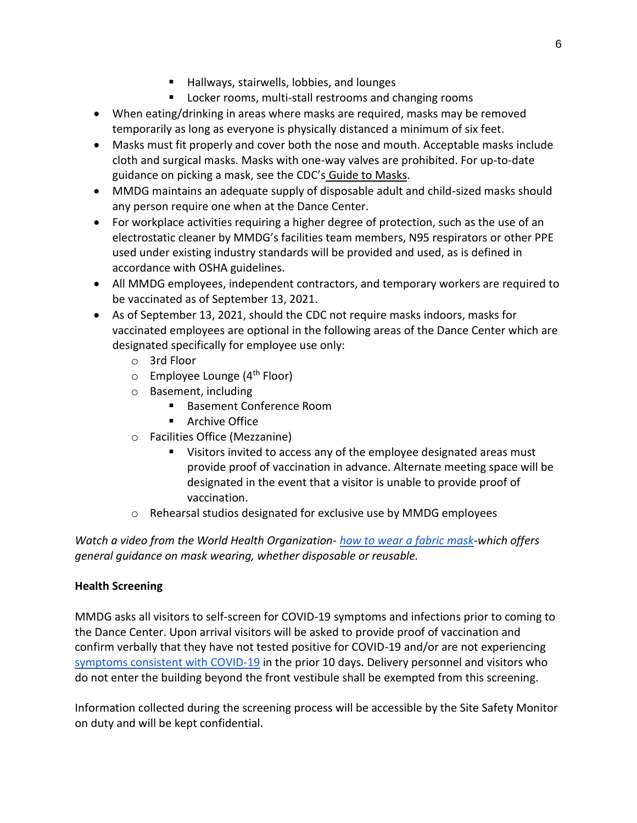- Hallways, stairwells, lobbies, and lounges
- Locker rooms, multi-stall restrooms and changing rooms
- When eating/drinking in areas where masks are required, masks may be removed temporarily as long as everyone is physically distanced a minimum of six feet.
- Masks must fit properly and cover both the nose and mouth. Acceptable masks include cloth and surgical masks. Masks with one-way valves are prohibited. For up-to-date guidance on picking a mask, see the CDC's [Guide to Masks.](https://nam10.safelinks.protection.outlook.com/?url=https%3A%2F%2Fwww.cdc.gov%2Fcoronavirus%2F2019-ncov%2Fprevent-getting-sick%2Fabout-face-coverings.html&data=04%7C01%7CCdumitrescu%40mwe.com%7C70b5521a73e547d540eb08d94ded943a%7C539c611a8032457bb371a99182228eef%7C0%7C0%7C637626505056714046%7CUnknown%7CTWFpbGZsb3d8eyJWIjoiMC4wLjAwMDAiLCJQIjoiV2luMzIiLCJBTiI6Ik1haWwiLCJXVCI6Mn0%3D%7C1000&sdata=VOP8hgqAjzUhGyoAne6fUfezIjqIOzOeyXLYz6E2hz8%3D&reserved=0)
- MMDG maintains an adequate supply of disposable adult and child-sized masks should any person require one when at the Dance Center.
- For workplace activities requiring a higher degree of protection, such as the use of an electrostatic cleaner by MMDG's facilities team members, N95 respirators or other PPE used under existing industry standards will be provided and used, as is defined in accordance with OSHA guidelines.
- All MMDG employees, independent contractors, and temporary workers are required to be vaccinated as of September 13, 2021.
- As of September 13, 2021, should the CDC not require masks indoors, masks for vaccinated employees are optional in the following areas of the Dance Center which are designated specifically for employee use only:
	- o 3rd Floor
	- $\circ$  Employee Lounge (4<sup>th</sup> Floor)
	- o Basement, including
		- Basement Conference Room
		- Archive Office
	- o Facilities Office (Mezzanine)
		- Visitors invited to access any of the employee designated areas must provide proof of vaccination in advance. Alternate meeting space will be designated in the event that a visitor is unable to provide proof of vaccination.
	- o Rehearsal studios designated for exclusive use by MMDG employees

*Watch a video from the World Health Organization- [how to wear a fabric mask-](https://www.youtube.com/watch?v=9Tv2BVN_WTk)which offers general guidance on mask wearing, whether disposable or reusable.* 

# **Health Screening**

MMDG asks all visitors to self-screen for COVID-19 symptoms and infections prior to coming to the Dance Center. Upon arrival visitors will be asked to provide proof of vaccination and confirm verbally that they have not tested positive for COVID-19 and/or are not experiencin[g](https://www.cdc.gov/coronavirus/2019-ncov/symptoms-testing/symptoms.html) [symptoms consistent with COVID-19](https://www.cdc.gov/coronavirus/2019-ncov/symptoms-testing/symptoms.html) in the prior 10 days. Delivery personnel and visitors who do not enter the building beyond the front vestibule shall be exempted from this screening.

Information collected during the screening process will be accessible by the Site Safety Monitor on duty and will be kept confidential.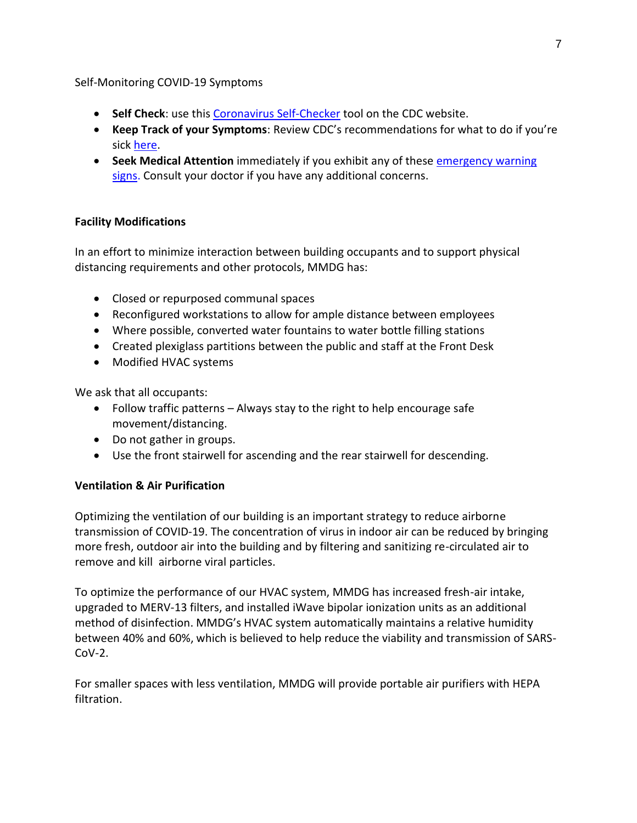#### Self-Monitoring COVID-19 Symptoms

- **Self Check**: use this [Coronavirus Self-Checker](https://www.cdc.gov/coronavirus/2019-ncov/symptoms-testing/coronavirus-self-checker.html) tool on the CDC website.
- **Keep Track of your Symptoms**: Review CDC's recommendations for what to do if you're sick [here.](https://www.cdc.gov/coronavirus/2019-ncov/if-you-are-sick/steps-when-sick.html)
- **Seek Medical Attention** immediately if you exhibit any of these [emergency warning](https://www.cdc.gov/coronavirus/2019-ncov/symptoms-testing/symptoms.html#seek-medical-attention)  [signs.](https://www.cdc.gov/coronavirus/2019-ncov/symptoms-testing/symptoms.html#seek-medical-attention) Consult your doctor if you have any additional concerns.

# **Facility Modifications**

In an effort to minimize interaction between building occupants and to support physical distancing requirements and other protocols, MMDG has:

- Closed or repurposed communal spaces
- Reconfigured workstations to allow for ample distance between employees
- Where possible, converted water fountains to water bottle filling stations
- Created plexiglass partitions between the public and staff at the Front Desk
- Modified HVAC systems

We ask that all occupants:

- Follow traffic patterns Always stay to the right to help encourage safe movement/distancing.
- Do not gather in groups.
- Use the front stairwell for ascending and the rear stairwell for descending.

# **Ventilation & Air Purification**

Optimizing the ventilation of our building is an important strategy to reduce airborne transmission of COVID-19. The concentration of virus in indoor air can be reduced by bringing more fresh, outdoor air into the building and by filtering and sanitizing re-circulated air to remove and kill airborne viral particles.

To optimize the performance of our HVAC system, MMDG has increased fresh-air intake, upgraded to MERV-13 filters, and installed iWave bipolar ionization units as an additional method of disinfection. MMDG's HVAC system automatically maintains a relative humidity between 40% and 60%, which is believed to help reduce the viability and transmission of SARS- $Cov-2$ .

For smaller spaces with less ventilation, MMDG will provide portable air purifiers with HEPA filtration.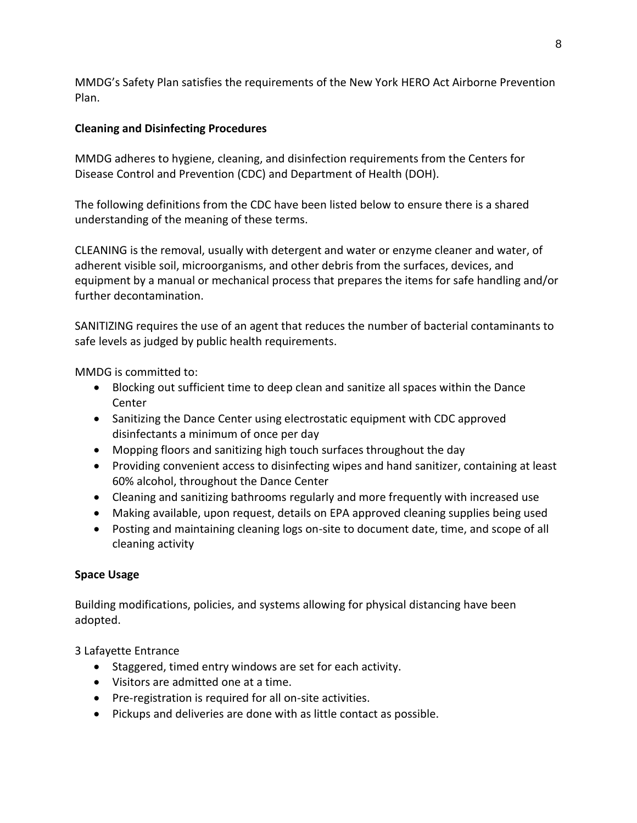MMDG's Safety Plan satisfies the requirements of the New York HERO Act Airborne Prevention Plan.

# **Cleaning and Disinfecting Procedures**

MMDG adheres to hygiene, cleaning, and disinfection requirements from the Centers for Disease Control and Prevention (CDC) and Department of Health (DOH).

The following definitions from the CDC have been listed below to ensure there is a shared understanding of the meaning of these terms.

CLEANING is the removal, usually with detergent and water or enzyme cleaner and water, of adherent visible soil, microorganisms, and other debris from the surfaces, devices, and equipment by a manual or mechanical process that prepares the items for safe handling and/or further decontamination.

SANITIZING requires the use of an agent that reduces the number of bacterial contaminants to safe levels as judged by public health requirements.

MMDG is committed to:

- Blocking out sufficient time to deep clean and sanitize all spaces within the Dance Center
- Sanitizing the Dance Center using electrostatic equipment with CDC approved disinfectants a minimum of once per day
- Mopping floors and sanitizing high touch surfaces throughout the day
- Providing convenient access to disinfecting wipes and hand sanitizer, containing at least 60% alcohol, throughout the Dance Center
- Cleaning and sanitizing bathrooms regularly and more frequently with increased use
- Making available, upon request, details on EPA approved cleaning supplies being used
- Posting and maintaining cleaning logs on-site to document date, time, and scope of all cleaning activity

# **Space Usage**

Building modifications, policies, and systems allowing for physical distancing have been adopted.

3 Lafayette Entrance

- Staggered, timed entry windows are set for each activity.
- Visitors are admitted one at a time.
- Pre-registration is required for all on-site activities.
- Pickups and deliveries are done with as little contact as possible.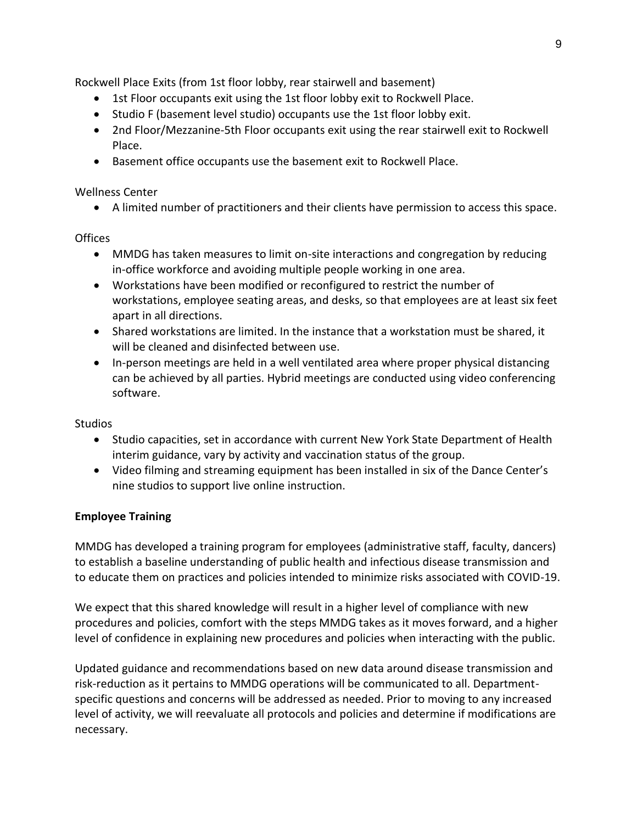Rockwell Place Exits (from 1st floor lobby, rear stairwell and basement)

- 1st Floor occupants exit using the 1st floor lobby exit to Rockwell Place.
- Studio F (basement level studio) occupants use the 1st floor lobby exit.
- 2nd Floor/Mezzanine-5th Floor occupants exit using the rear stairwell exit to Rockwell Place.
- Basement office occupants use the basement exit to Rockwell Place.

## Wellness Center

• A limited number of practitioners and their clients have permission to access this space.

## **Offices**

- MMDG has taken measures to limit on-site interactions and congregation by reducing in-office workforce and avoiding multiple people working in one area.
- Workstations have been modified or reconfigured to restrict the number of workstations, employee seating areas, and desks, so that employees are at least six feet apart in all directions.
- Shared workstations are limited. In the instance that a workstation must be shared, it will be cleaned and disinfected between use.
- In-person meetings are held in a well ventilated area where proper physical distancing can be achieved by all parties. Hybrid meetings are conducted using video conferencing software.

# Studios

- Studio capacities, set in accordance with current New York State Department of Health interim guidance, vary by activity and vaccination status of the group.
- Video filming and streaming equipment has been installed in six of the Dance Center's nine studios to support live online instruction.

# **Employee Training**

MMDG has developed a training program for employees (administrative staff, faculty, dancers) to establish a baseline understanding of public health and infectious disease transmission and to educate them on practices and policies intended to minimize risks associated with COVID-19.

We expect that this shared knowledge will result in a higher level of compliance with new procedures and policies, comfort with the steps MMDG takes as it moves forward, and a higher level of confidence in explaining new procedures and policies when interacting with the public.

Updated guidance and recommendations based on new data around disease transmission and risk-reduction as it pertains to MMDG operations will be communicated to all. Departmentspecific questions and concerns will be addressed as needed. Prior to moving to any increased level of activity, we will reevaluate all protocols and policies and determine if modifications are necessary.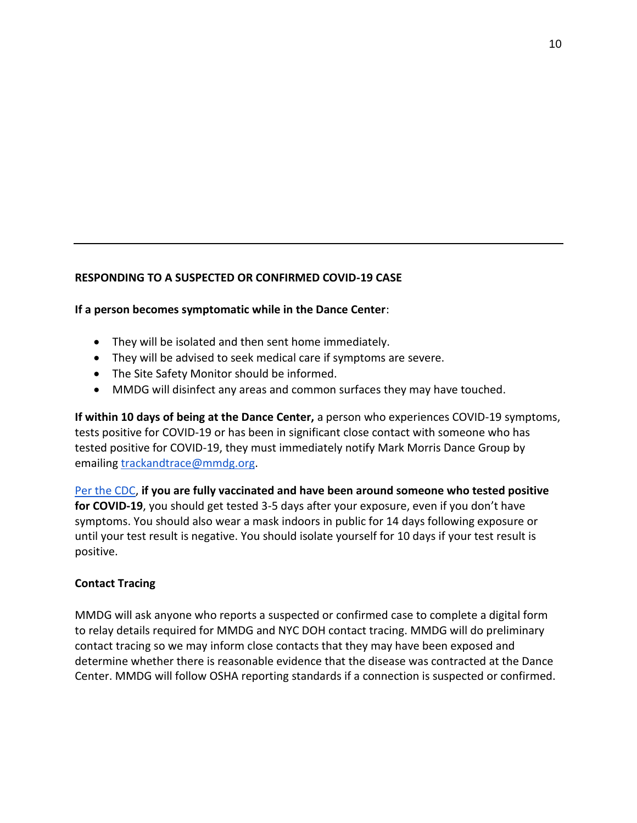## **RESPONDING TO A SUSPECTED OR CONFIRMED COVID-19 CASE**

**If a person becomes symptomatic while in the Dance Center**:

- They will be isolated and then sent home immediately.
- They will be advised to seek medical care if symptoms are severe.
- The Site Safety Monitor should be informed.
- MMDG will disinfect any areas and common surfaces they may have touched.

**If within 10 days of being at the Dance Center,** a person who experiences COVID-19 symptoms, tests positive for COVID-19 or has been in significant close contact with someone who has tested positive for COVID-19, they must immediately notify Mark Morris Dance Group by emailing [trackandtrace@mmdg.org.](mailto:trackandtrace@mmdg.org)

[Per the CDC,](https://www.cdc.gov/coronavirus/2019-ncov/vaccines/fully-vaccinated.html) **if you are fully vaccinated and have been around someone who tested positive for COVID-19**, you should get tested 3-5 days after your exposure, even if you don't have symptoms. You should also wear a mask indoors in public for 14 days following exposure or until your test result is negative. You should isolate yourself for 10 days if your test result is positive.

#### **Contact Tracing**

MMDG will ask anyone who reports a suspected or confirmed case to complete a digital form to relay details required for MMDG and NYC DOH contact tracing. MMDG will do preliminary contact tracing so we may inform close contacts that they may have been exposed and determine whether there is reasonable evidence that the disease was contracted at the Dance Center. MMDG will follow OSHA reporting standards if a connection is suspected or confirmed.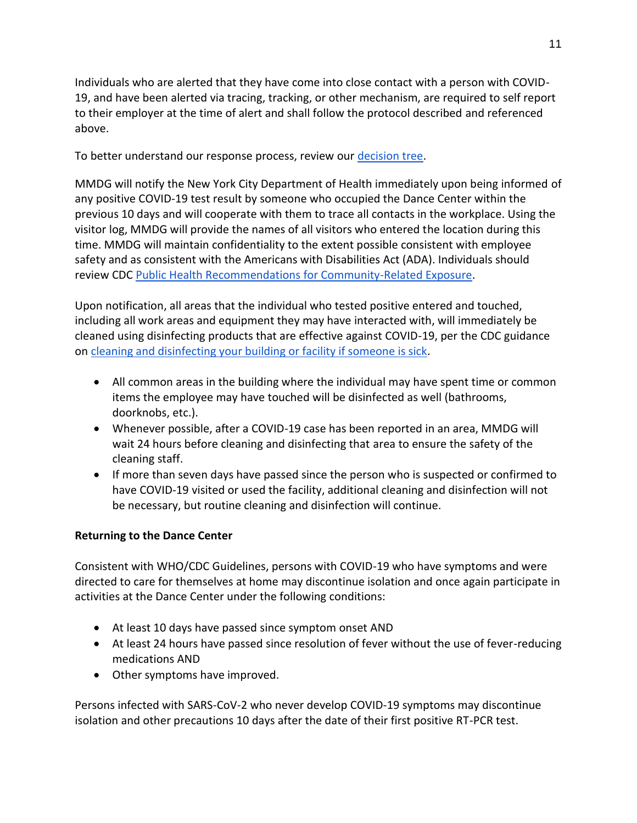Individuals who are alerted that they have come into close contact with a person with COVID-19, and have been alerted via tracing, tracking, or other mechanism, are required to self report to their employer at the time of alert and shall follow the protocol described and referenced above.

To better understand our response process, review our [decision tree.](https://markmorrisdancegroup.org/covid-19-decision-tree/)

MMDG will notify the New York City Department of Health immediately upon being informed of any positive COVID-19 test result by someone who occupied the Dance Center within the previous 10 days and will cooperate with them to trace all contacts in the workplace. Using the visitor log, MMDG will provide the names of all visitors who entered the location during this time. MMDG will maintain confidentiality to the extent possible consistent with employee safety and as consistent with the Americans with Disabilities Act (ADA). Individuals should review CDC [Public Health Recommendations for Community-Related Exposure.](https://www.cdc.gov/coronavirus/2019-ncov/php/public-health-recommendations.html)

Upon notification, all areas that the individual who tested positive entered and touched, including all work areas and equipment they may have interacted with, will immediately be cleaned using disinfecting products that are effective against COVID-19, per the CDC guidance on [cleaning and disinfecting your building or facility if someone is sick.](https://www.cdc.gov/coronavirus/2019-ncov/community/disinfecting-building-facility.html)

- All common areas in the building where the individual may have spent time or common items the employee may have touched will be disinfected as well (bathrooms, doorknobs, etc.).
- Whenever possible, after a COVID-19 case has been reported in an area, MMDG will wait 24 hours before cleaning and disinfecting that area to ensure the safety of the cleaning staff.
- If more than seven days have passed since the person who is suspected or confirmed to have COVID-19 visited or used the facility, additional cleaning and disinfection will not be necessary, but routine cleaning and disinfection will continue.

# **Returning to the Dance Center**

Consistent with WHO/CDC Guidelines, persons with COVID-19 who have symptoms and were directed to care for themselves at home may discontinue isolation and once again participate in activities at the Dance Center under the following conditions:

- At least 10 days have passed since symptom onset AND
- At least 24 hours have passed since resolution of fever without the use of fever-reducing medications AND
- Other symptoms have improved.

Persons infected with SARS-CoV-2 who never develop COVID-19 symptoms may discontinue isolation and other precautions 10 days after the date of their first positive RT-PCR test.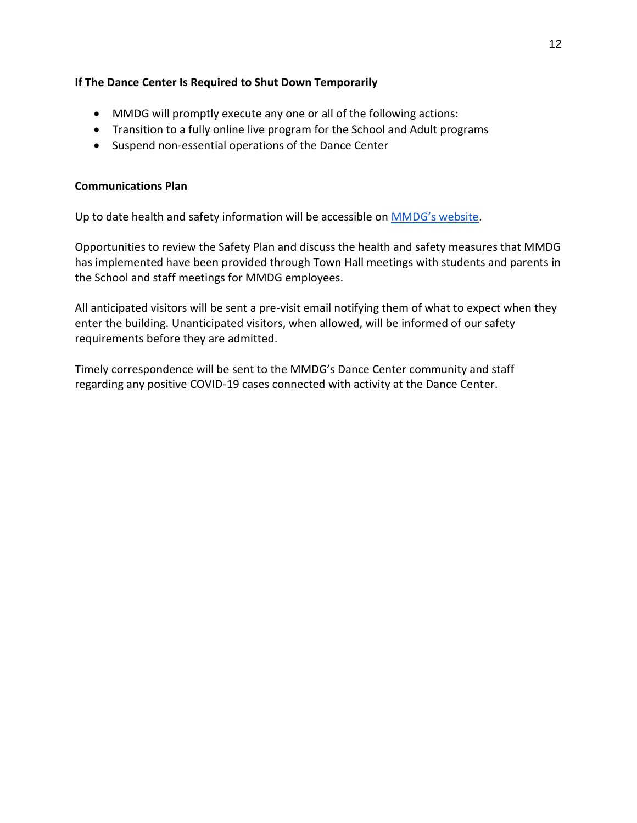## **If The Dance Center Is Required to Shut Down Temporarily**

- MMDG will promptly execute any one or all of the following actions:
- Transition to a fully online live program for the School and Adult programs
- Suspend non-essential operations of the Dance Center

## **Communications Plan**

Up to date health and safety information will be accessible on [MMDG's website](https://markmorrisdancegroup.org/dance-center/visiting-the-dance-center/).

Opportunities to review the Safety Plan and discuss the health and safety measures that MMDG has implemented have been provided through Town Hall meetings with students and parents in the School and staff meetings for MMDG employees.

All anticipated visitors will be sent a pre-visit email notifying them of what to expect when they enter the building. Unanticipated visitors, when allowed, will be informed of our safety requirements before they are admitted.

Timely correspondence will be sent to the MMDG's Dance Center community and staff regarding any positive COVID-19 cases connected with activity at the Dance Center.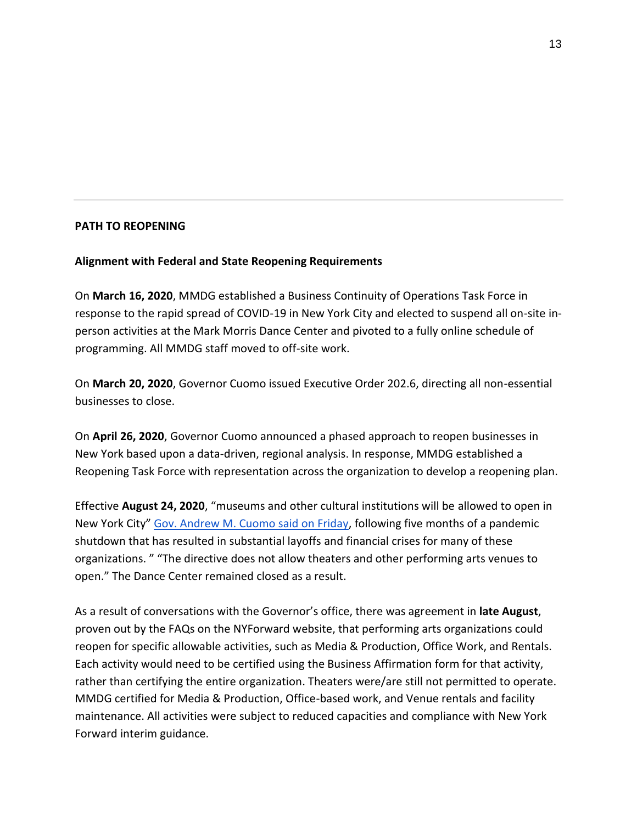#### **PATH TO REOPENING**

## **Alignment with Federal and State Reopening Requirements**

On **March 16, 2020**, MMDG established a Business Continuity of Operations Task Force in response to the rapid spread of COVID-19 in New York City and elected to suspend all on-site inperson activities at the Mark Morris Dance Center and pivoted to a fully online schedule of programming. All MMDG staff moved to off-site work.

On **March 20, 2020**, Governor Cuomo issued Executive Order 202.6, directing all non-essential businesses to close.

On **April 26, 2020**, Governor Cuomo announced a phased approach to reopen businesses in New York based upon a data-driven, regional analysis. In response, MMDG established a Reopening Task Force with representation across the organization to develop a reopening plan.

Effective **August 24, 2020**, "museums and other cultural institutions will be allowed to open in New York City" [Gov. Andrew M. Cuomo said on Friday,](https://www.nytimes.com/2020/08/14/arts/design/nyc-museums-reopening-virus.html) following five months of a pandemic shutdown that has resulted in substantial layoffs and financial crises for many of these organizations. " "The directive does not allow theaters and other performing arts venues to open." The Dance Center remained closed as a result.

As a result of conversations with the Governor's office, there was agreement in **late August**, proven out by the FAQs on the NYForward website, that performing arts organizations could reopen for specific allowable activities, such as Media & Production, Office Work, and Rentals. Each activity would need to be certified using the Business Affirmation form for that activity, rather than certifying the entire organization. Theaters were/are still not permitted to operate. MMDG certified for Media & Production, Office-based work, and Venue rentals and facility maintenance. All activities were subject to reduced capacities and compliance with New York Forward interim guidance.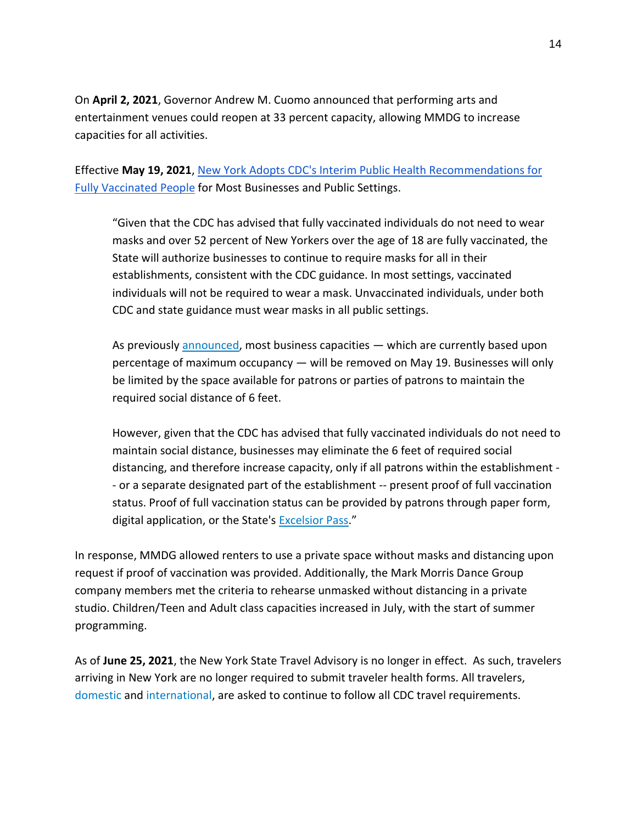On **April 2, 2021**, Governor Andrew M. Cuomo announced that performing arts and entertainment venues could reopen at 33 percent capacity, allowing MMDG to increase capacities for all activities.

Effective **May 19, 2021**, [New York Adopts CDC's Interim Public Health Recommendations for](https://www.governor.ny.gov/news/governor-cuomo-announces-new-york-state-adopt-new-cdc-guidance-mask-use-and-social-distancing)  [Fully Vaccinated People](https://www.governor.ny.gov/news/governor-cuomo-announces-new-york-state-adopt-new-cdc-guidance-mask-use-and-social-distancing) for Most Businesses and Public Settings.

"Given that the CDC has advised that fully vaccinated individuals do not need to wear masks and over 52 percent of New Yorkers over the age of 18 are fully vaccinated, the State will authorize businesses to continue to require masks for all in their establishments, consistent with the CDC guidance. In most settings, vaccinated individuals will not be required to wear a mask. Unvaccinated individuals, under both CDC and state guidance must wear masks in all public settings.

As previously [announced,](https://www.governor.ny.gov/news/governor-cuomo-governor-murphy-and-governor-lamont-announce-significant-easing-covid-19) most business capacities — which are currently based upon percentage of maximum occupancy — will be removed on May 19. Businesses will only be limited by the space available for patrons or parties of patrons to maintain the required social distance of 6 feet.

However, given that the CDC has advised that fully vaccinated individuals do not need to maintain social distance, businesses may eliminate the 6 feet of required social distancing, and therefore increase capacity, only if all patrons within the establishment - - or a separate designated part of the establishment -- present proof of full vaccination status. Proof of full vaccination status can be provided by patrons through paper form, digital application, or the State's [Excelsior Pass](https://covid19vaccine.health.ny.gov/excelsior-pass)."

In response, MMDG allowed renters to use a private space without masks and distancing upon request if proof of vaccination was provided. Additionally, the Mark Morris Dance Group company members met the criteria to rehearse unmasked without distancing in a private studio. Children/Teen and Adult class capacities increased in July, with the start of summer programming.

As of **June 25, 2021**, the New York State Travel Advisory is no longer in effect. As such, travelers arriving in New York are no longer required to submit traveler health forms. All travelers, [domestic](https://www.cdc.gov/coronavirus/2019-ncov/travelers/travel-during-covid19.html) and [international,](https://www.cdc.gov/coronavirus/2019-ncov/travelers/international-travel-during-covid19.html) are asked to continue to follow all CDC travel requirements.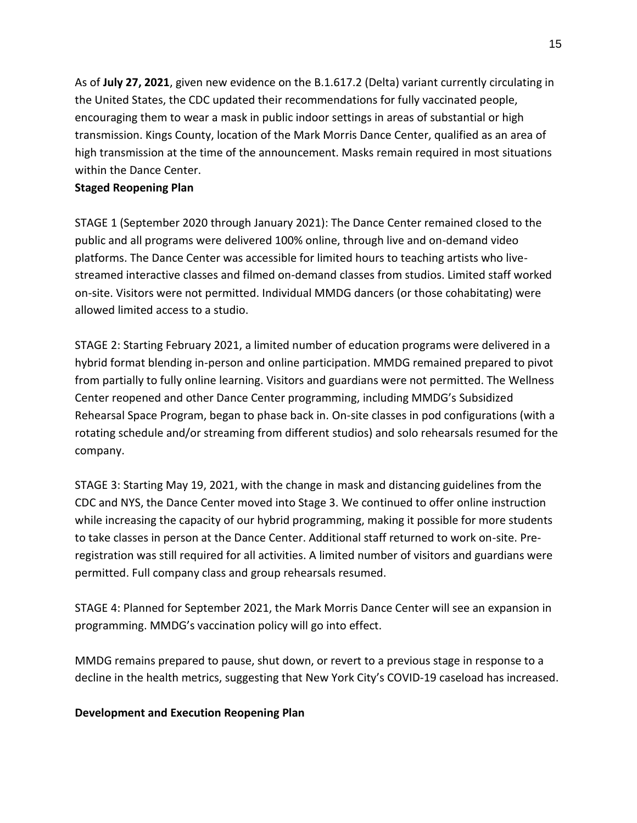As of **July 27, 2021**, given new evidence on the B.1.617.2 (Delta) variant currently circulating in the United States, the CDC updated their recommendations for fully vaccinated people, encouraging them to wear a mask in public indoor settings in areas of substantial or high transmission. Kings County, location of the Mark Morris Dance Center, qualified as an area of high transmission at the time of the announcement. Masks remain required in most situations within the Dance Center.

#### **Staged Reopening Plan**

STAGE 1 (September 2020 through January 2021): The Dance Center remained closed to the public and all programs were delivered 100% online, through live and on-demand video platforms. The Dance Center was accessible for limited hours to teaching artists who livestreamed interactive classes and filmed on-demand classes from studios. Limited staff worked on-site. Visitors were not permitted. Individual MMDG dancers (or those cohabitating) were allowed limited access to a studio.

STAGE 2: Starting February 2021, a limited number of education programs were delivered in a hybrid format blending in-person and online participation. MMDG remained prepared to pivot from partially to fully online learning. Visitors and guardians were not permitted. The Wellness Center reopened and other Dance Center programming, including MMDG's Subsidized Rehearsal Space Program, began to phase back in. On-site classes in pod configurations (with a rotating schedule and/or streaming from different studios) and solo rehearsals resumed for the company.

STAGE 3: Starting May 19, 2021, with the change in mask and distancing guidelines from the CDC and NYS, the Dance Center moved into Stage 3. We continued to offer online instruction while increasing the capacity of our hybrid programming, making it possible for more students to take classes in person at the Dance Center. Additional staff returned to work on-site. Preregistration was still required for all activities. A limited number of visitors and guardians were permitted. Full company class and group rehearsals resumed.

STAGE 4: Planned for September 2021, the Mark Morris Dance Center will see an expansion in programming. MMDG's vaccination policy will go into effect.

MMDG remains prepared to pause, shut down, or revert to a previous stage in response to a decline in the health metrics, suggesting that New York City's COVID-19 caseload has increased.

#### **Development and Execution Reopening Plan**